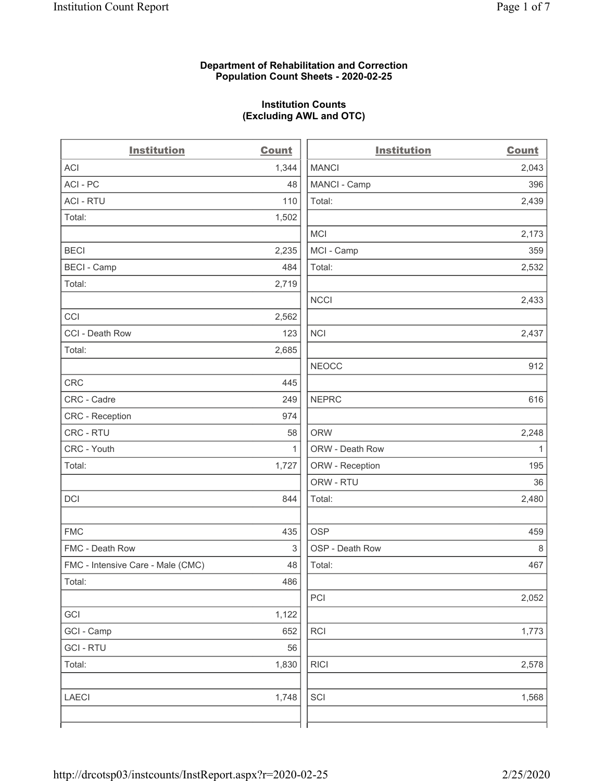### **Department of Rehabilitation and Correction Population Count Sheets - 2020-02-25**

### **Institution Counts (Excluding AWL and OTC)**

 $\overline{a}$ 

| <b>Institution</b>                | <b>Count</b> | <b>Institution</b> | Count        |
|-----------------------------------|--------------|--------------------|--------------|
| <b>ACI</b>                        | 1,344        | <b>MANCI</b>       | 2,043        |
| ACI-PC                            | 48           | MANCI - Camp       | 396          |
| <b>ACI - RTU</b>                  | 110          | Total:             | 2,439        |
| Total:                            | 1,502        |                    |              |
|                                   |              | MCI                | 2,173        |
| <b>BECI</b>                       | 2,235        | MCI - Camp         | 359          |
| <b>BECI - Camp</b>                | 484          | Total:             | 2,532        |
| Total:                            | 2,719        |                    |              |
|                                   |              | <b>NCCI</b>        | 2,433        |
| CCI                               | 2,562        |                    |              |
| CCI - Death Row                   | 123          | <b>NCI</b>         | 2,437        |
| Total:                            | 2,685        |                    |              |
|                                   |              | <b>NEOCC</b>       | 912          |
| <b>CRC</b>                        | 445          |                    |              |
| CRC - Cadre                       | 249          | <b>NEPRC</b>       | 616          |
| CRC - Reception                   | 974          |                    |              |
| CRC - RTU                         | 58           | <b>ORW</b>         | 2,248        |
| CRC - Youth                       | $\mathbf{1}$ | ORW - Death Row    | $\mathbf{1}$ |
| Total:                            | 1,727        | ORW - Reception    | 195          |
|                                   |              | ORW - RTU          | 36           |
| DCI                               | 844          | Total:             | 2,480        |
| <b>FMC</b>                        | 435          | <b>OSP</b>         | 459          |
| FMC - Death Row                   | 3            | OSP - Death Row    | 8            |
| FMC - Intensive Care - Male (CMC) | 48           | Total:             | 467          |
| Total:                            | 486          |                    |              |
|                                   |              | PCI                | 2,052        |
| GCI                               | 1,122        |                    |              |
| GCI - Camp                        | 652          | <b>RCI</b>         | 1,773        |
| <b>GCI-RTU</b>                    | 56           |                    |              |
| Total:                            | 1,830        | <b>RICI</b>        | 2,578        |
| <b>LAECI</b>                      | 1,748        | SCI                | 1,568        |
|                                   |              |                    |              |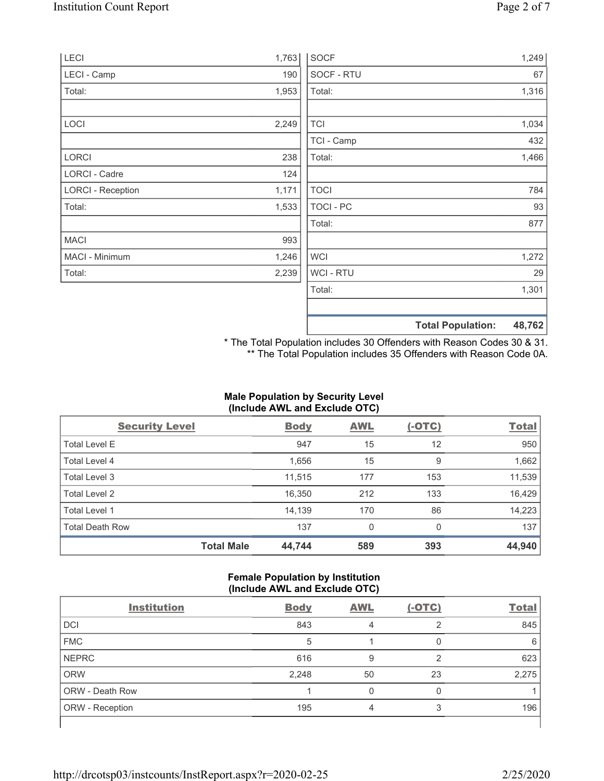| LECI                     | 1,763 | <b>SOCF</b>      | 1,249                              |
|--------------------------|-------|------------------|------------------------------------|
| <b>LECI - Camp</b>       | 190   | SOCF - RTU       | 67                                 |
| Total:                   | 1,953 | Total:           | 1,316                              |
|                          |       |                  |                                    |
| LOCI                     | 2,249 | <b>TCI</b>       | 1,034                              |
|                          |       | TCI - Camp       | 432                                |
| <b>LORCI</b>             | 238   | Total:           | 1,466                              |
| LORCI - Cadre            | 124   |                  |                                    |
| <b>LORCI - Reception</b> | 1,171 | <b>TOCI</b>      | 784                                |
| Total:                   | 1,533 | <b>TOCI - PC</b> | 93                                 |
|                          |       | Total:           | 877                                |
| <b>MACI</b>              | 993   |                  |                                    |
| MACI - Minimum           | 1,246 | <b>WCI</b>       | 1,272                              |
| Total:                   | 2,239 | <b>WCI-RTU</b>   | 29                                 |
|                          |       | Total:           | 1,301                              |
|                          |       |                  |                                    |
|                          |       |                  | 48,762<br><b>Total Population:</b> |

\* The Total Population includes 30 Offenders with Reason Codes 30 & 31. \*\* The Total Population includes 35 Offenders with Reason Code 0A.

# **Male Population by Security Level (Include AWL and Exclude OTC)**

| <b>Security Level</b>  |                   | <b>Body</b> | <b>AWL</b> | $(-OTC)$ | <b>Total</b> |
|------------------------|-------------------|-------------|------------|----------|--------------|
| <b>Total Level E</b>   |                   | 947         | 15         | 12       | 950          |
| Total Level 4          |                   | 1,656       | 15         | 9        | 1,662        |
| Total Level 3          |                   | 11,515      | 177        | 153      | 11,539       |
| Total Level 2          |                   | 16,350      | 212        | 133      | 16,429       |
| Total Level 1          |                   | 14,139      | 170        | 86       | 14,223       |
| <b>Total Death Row</b> |                   | 137         | $\Omega$   | $\Omega$ | 137          |
|                        | <b>Total Male</b> | 44,744      | 589        | 393      | 44,940       |

### **Female Population by Institution (Include AWL and Exclude OTC)**

| <b>Institution</b>     | <b>Body</b> | <b>AWL</b> | $(-OTC)$ | <b>Total</b> |
|------------------------|-------------|------------|----------|--------------|
| <b>DCI</b>             | 843         | 4          | っ        | 845          |
| <b>FMC</b>             | 5           |            |          | 6            |
| <b>NEPRC</b>           | 616         | 9          | っ        | 623          |
| <b>ORW</b>             | 2,248       | 50         | 23       | 2,275        |
| <b>ORW - Death Row</b> |             |            |          |              |
| ORW - Reception        | 195         | 4          | 3        | 196          |
|                        |             |            |          |              |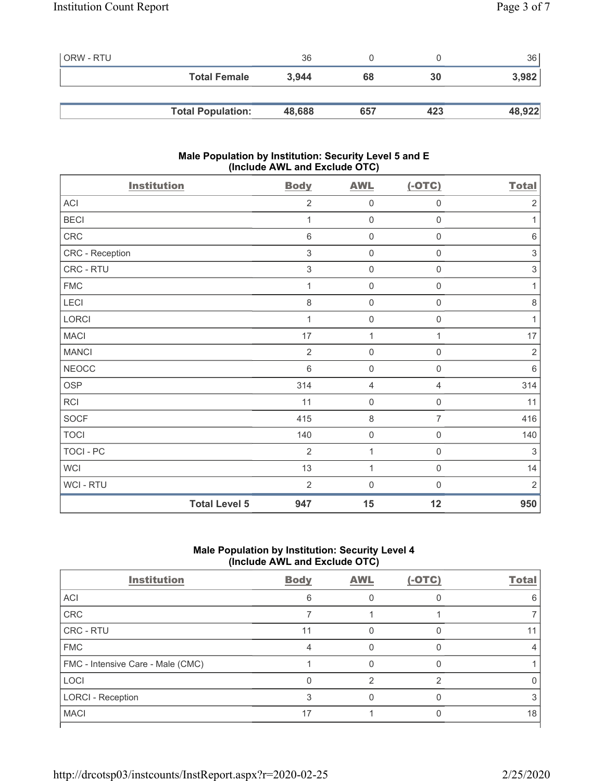| l ORW - RTU |                          | 36     |     |     | 36     |
|-------------|--------------------------|--------|-----|-----|--------|
|             | <b>Total Female</b>      | 3.944  | 68  | 30  | 3,982  |
|             |                          |        |     |     |        |
|             | <b>Total Population:</b> | 48,688 | 657 | 423 | 48,922 |

### **Male Population by Institution: Security Level 5 and E (Include AWL and Exclude OTC)**

| <b>Institution</b> | <b>Body</b>                 | <b>AWL</b>          | $(-OTC)$            | <b>Total</b>   |
|--------------------|-----------------------------|---------------------|---------------------|----------------|
| ACI                | $\overline{2}$              | $\mathsf{O}\xspace$ | $\mathsf{O}\xspace$ | $\sqrt{2}$     |
| <b>BECI</b>        | 1                           | $\mathsf{O}\xspace$ | $\mathsf{O}\xspace$ | $\mathbf 1$    |
| CRC                | 6                           | $\mathsf{O}\xspace$ | 0                   | $\,6\,$        |
| CRC - Reception    | 3                           | $\mathbf 0$         | 0                   | $\,$ 3 $\,$    |
| CRC - RTU          | $\mathfrak{S}$              | $\mathsf{O}\xspace$ | $\mathsf 0$         | $\,$ 3 $\,$    |
| <b>FMC</b>         | 1                           | $\mathbf 0$         | $\mathbf 0$         | $\mathbf{1}$   |
| LECI               | 8                           | $\mathsf{O}\xspace$ | $\mathsf{O}\xspace$ | $\,8\,$        |
| LORCI              | 1                           | $\mathsf{O}\xspace$ | $\mathsf{O}\xspace$ | $\mathbf 1$    |
| <b>MACI</b>        | 17                          | 1                   | 1                   | 17             |
| <b>MANCI</b>       | $\overline{2}$              | $\mathbf 0$         | 0                   | $\sqrt{2}$     |
| <b>NEOCC</b>       | $6\phantom{1}6$             | $\mathbf 0$         | $\mathsf 0$         | $\,6\,$        |
| <b>OSP</b>         | 314                         | $\overline{4}$      | $\overline{4}$      | 314            |
| <b>RCI</b>         | 11                          | $\boldsymbol{0}$    | $\mathbf 0$         | 11             |
| <b>SOCF</b>        | 415                         | $\,8\,$             | $\overline{7}$      | 416            |
| <b>TOCI</b>        | 140                         | $\mathsf{O}\xspace$ | $\mathsf{O}\xspace$ | 140            |
| <b>TOCI - PC</b>   | $\overline{2}$              | 1                   | $\mathsf{O}\xspace$ | $\mathfrak{S}$ |
| <b>WCI</b>         | 13                          | $\mathbf{1}$        | $\mathsf{O}\xspace$ | 14             |
| WCI - RTU          | $\overline{2}$              | $\mathbf 0$         | $\boldsymbol{0}$    | $\overline{2}$ |
|                    | <b>Total Level 5</b><br>947 | 15                  | 12                  | 950            |

## **Male Population by Institution: Security Level 4 (Include AWL and Exclude OTC)**

| <b>Institution</b>                | <b>Body</b> | <b>AWL</b> | $(-OTC)$ | <b>Total</b> |
|-----------------------------------|-------------|------------|----------|--------------|
| ACI                               | 6           |            |          | ิค           |
| CRC                               |             |            |          |              |
| CRC - RTU                         | 11          |            |          |              |
| <b>FMC</b>                        |             |            |          |              |
| FMC - Intensive Care - Male (CMC) |             |            |          |              |
| <b>LOCI</b>                       |             |            | ⌒        |              |
| <b>LORCI - Reception</b>          |             |            |          |              |
| <b>MACI</b>                       | 17          |            |          | 18           |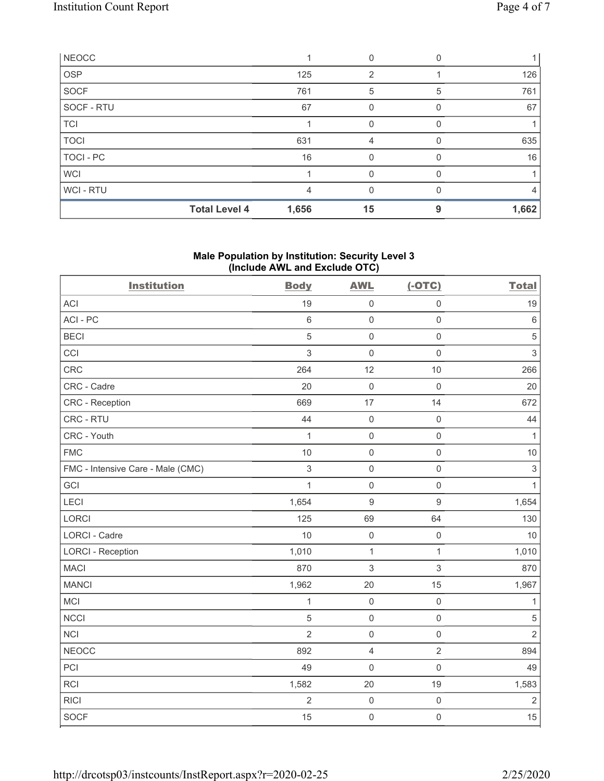| <b>NEOCC</b> |                      |       |    |          |       |
|--------------|----------------------|-------|----|----------|-------|
| <b>OSP</b>   |                      | 125   | 2  |          | 126   |
| <b>SOCF</b>  |                      | 761   | 5  | 5        | 761   |
| SOCF - RTU   |                      | 67    |    |          | 67    |
| <b>TCI</b>   |                      |       |    |          |       |
| <b>TOCI</b>  |                      | 631   | 4  | $\Omega$ | 635   |
| TOCI - PC    |                      | 16    |    |          | 16    |
| <b>WCI</b>   |                      |       |    |          |       |
| WCI-RTU      |                      | 4     | U  |          | 4     |
|              | <b>Total Level 4</b> | 1,656 | 15 | 9        | 1,662 |

### **Male Population by Institution: Security Level 3 (Include AWL and Exclude OTC)**

| <b>Institution</b>                | <b>Body</b>    | <b>AWL</b>          | $(-OTC)$            | <b>Total</b>              |
|-----------------------------------|----------------|---------------------|---------------------|---------------------------|
| <b>ACI</b>                        | 19             | $\mathbf 0$         | $\mathsf{O}\xspace$ | 19                        |
| ACI-PC                            | $6\phantom{a}$ | $\mathbf 0$         | $\mathsf{O}\xspace$ | $\,6\,$                   |
| <b>BECI</b>                       | 5              | $\mathsf{O}\xspace$ | $\mathsf{O}\xspace$ | $\mathbf 5$               |
| CCI                               | 3              | $\mathbf 0$         | $\mathbf 0$         | $\sqrt{3}$                |
| <b>CRC</b>                        | 264            | 12                  | 10                  | 266                       |
| CRC - Cadre                       | 20             | $\mathbf 0$         | $\mathbf 0$         | 20                        |
| CRC - Reception                   | 669            | 17                  | 14                  | 672                       |
| CRC - RTU                         | 44             | $\mathsf{O}\xspace$ | $\mathbf 0$         | 44                        |
| CRC - Youth                       | $\mathbf{1}$   | $\mathbf 0$         | $\mathsf{O}\xspace$ | $\mathbf{1}$              |
| <b>FMC</b>                        | 10             | $\mathbf 0$         | $\mathbf 0$         | 10                        |
| FMC - Intensive Care - Male (CMC) | $\mathfrak{S}$ | $\mathsf{O}$        | $\mathsf{O}\xspace$ | $\ensuremath{\mathsf{3}}$ |
| GCI                               | $\mathbf{1}$   | $\mathbf 0$         | $\mathbf 0$         | $\mathbf{1}$              |
| LECI                              | 1,654          | $9$                 | $\boldsymbol{9}$    | 1,654                     |
| <b>LORCI</b>                      | 125            | 69                  | 64                  | 130                       |
| LORCI - Cadre                     | 10             | $\mathsf{O}\xspace$ | $\mathsf{O}\xspace$ | 10                        |
| <b>LORCI - Reception</b>          | 1,010          | $\mathbf{1}$        | $\mathbf{1}$        | 1,010                     |
| <b>MACI</b>                       | 870            | 3                   | $\sqrt{3}$          | 870                       |
| <b>MANCI</b>                      | 1,962          | 20                  | 15                  | 1,967                     |
| MCI                               | $\mathbf{1}$   | $\mathsf{O}\xspace$ | $\mathsf 0$         | $\mathbf{1}$              |
| <b>NCCI</b>                       | 5              | $\mathbf 0$         | $\mathsf{O}\xspace$ | $\,$ 5 $\,$               |
| <b>NCI</b>                        | $\overline{2}$ | $\mathbf 0$         | $\mathsf{O}\xspace$ | $\overline{2}$            |
| <b>NEOCC</b>                      | 892            | $\overline{4}$      | $\overline{2}$      | 894                       |
| PCI                               | 49             | $\mathbf 0$         | $\mathsf{O}\xspace$ | 49                        |
| <b>RCI</b>                        | 1,582          | 20                  | 19                  | 1,583                     |
| <b>RICI</b>                       | $\overline{c}$ | $\mathsf{O}\xspace$ | $\mathsf{O}\xspace$ | $\sqrt{2}$                |
| <b>SOCF</b>                       | 15             | $\mathbf 0$         | $\mathbf 0$         | 15                        |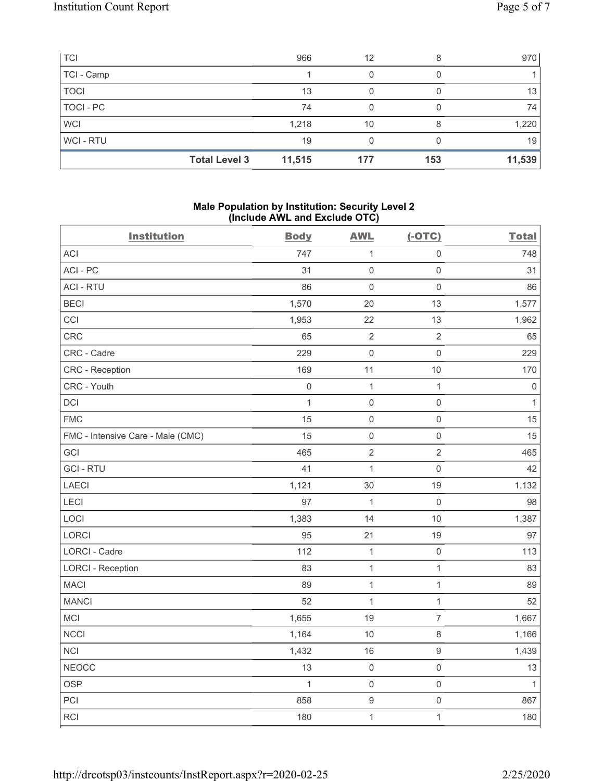| <b>TCI</b>     |                      | 966    | 12  |     | 970    |
|----------------|----------------------|--------|-----|-----|--------|
| TCI - Camp     |                      |        |     |     |        |
| <b>TOCI</b>    |                      | 13     |     |     | 13     |
| TOCI - PC      |                      | 74     |     |     | 74     |
| <b>WCI</b>     |                      | 1,218  | 10  |     | 1,220  |
| <b>WCI-RTU</b> |                      | 19     |     |     | 19     |
|                | <b>Total Level 3</b> | 11,515 | 177 | 153 | 11,539 |

#### **Male Population by Institution: Security Level 2 (Include AWL and Exclude OTC)**

| <b>Institution</b>                | <b>Body</b>  | <b>AWL</b>          | $(-OTC)$            | <b>Total</b> |
|-----------------------------------|--------------|---------------------|---------------------|--------------|
| <b>ACI</b>                        | 747          | $\mathbf{1}$        | $\mathsf{O}\xspace$ | 748          |
| ACI-PC                            | 31           | $\mathsf{O}\xspace$ | $\mathsf{O}\xspace$ | 31           |
| <b>ACI - RTU</b>                  | 86           | $\mathsf{O}\xspace$ | $\mathsf{O}\xspace$ | 86           |
| <b>BECI</b>                       | 1,570        | 20                  | 13                  | 1,577        |
| CCI                               | 1,953        | 22                  | 13                  | 1,962        |
| CRC                               | 65           | $\sqrt{2}$          | $\overline{2}$      | 65           |
| CRC - Cadre                       | 229          | $\mathbf 0$         | $\mathsf{O}\xspace$ | 229          |
| CRC - Reception                   | 169          | 11                  | $10$                | 170          |
| CRC - Youth                       | $\,0\,$      | $\mathbf{1}$        | $\mathbf{1}$        | $\,0\,$      |
| DCI                               | $\mathbf{1}$ | $\mathsf{O}\xspace$ | $\mathsf{O}\xspace$ | $\mathbf{1}$ |
| <b>FMC</b>                        | 15           | $\mathsf{O}\xspace$ | $\mathsf{O}\xspace$ | 15           |
| FMC - Intensive Care - Male (CMC) | 15           | $\mathsf{O}\xspace$ | $\mathsf{O}\xspace$ | 15           |
| GCI                               | 465          | $\sqrt{2}$          | $\overline{2}$      | 465          |
| <b>GCI-RTU</b>                    | 41           | $\mathbf{1}$        | $\mathsf{O}\xspace$ | 42           |
| <b>LAECI</b>                      | 1,121        | 30                  | 19                  | 1,132        |
| LECI                              | 97           | $\mathbf{1}$        | $\mathsf{O}\xspace$ | 98           |
| LOCI                              | 1,383        | 14                  | $10$                | 1,387        |
| LORCI                             | 95           | 21                  | 19                  | 97           |
| LORCI - Cadre                     | 112          | $\mathbf{1}$        | $\mathsf{O}\xspace$ | 113          |
| <b>LORCI - Reception</b>          | 83           | $\mathbf{1}$        | $\mathbf{1}$        | 83           |
| <b>MACI</b>                       | 89           | $\mathbf{1}$        | $\mathbf{1}$        | 89           |
| <b>MANCI</b>                      | 52           | $\mathbf{1}$        | $\mathbf{1}$        | 52           |
| <b>MCI</b>                        | 1,655        | 19                  | $\overline{7}$      | 1,667        |
| <b>NCCI</b>                       | 1,164        | 10                  | 8                   | 1,166        |
| <b>NCI</b>                        | 1,432        | 16                  | $\boldsymbol{9}$    | 1,439        |
| <b>NEOCC</b>                      | 13           | $\mathsf 0$         | $\mathsf{O}\xspace$ | 13           |
| <b>OSP</b>                        | $\mathbf{1}$ | $\mathsf{O}\xspace$ | $\mathsf{O}\xspace$ | $\mathbf{1}$ |
| PCI                               | 858          | $\boldsymbol{9}$    | $\mathsf{O}\xspace$ | 867          |
| RCI                               | 180          | $\mathbf{1}$        | $\mathbf{1}$        | 180          |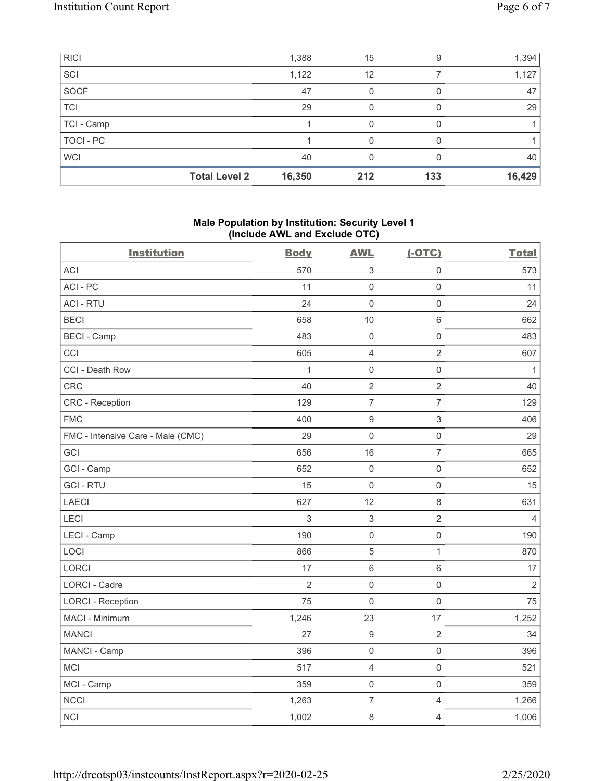| RICI       |                      | 1,388  | 15  | 9   | 1,394  |
|------------|----------------------|--------|-----|-----|--------|
| SCI        |                      | 1,122  | 12  |     | 1,127  |
| SOCF       |                      | 47     |     |     | 47     |
| <b>TCI</b> |                      | 29     |     |     | 29     |
| TCI - Camp |                      |        |     |     |        |
| TOCI-PC    |                      |        |     |     |        |
| <b>WCI</b> |                      | 40     |     |     | 40     |
|            | <b>Total Level 2</b> | 16,350 | 212 | 133 | 16,429 |

### **Male Population by Institution: Security Level 1 (Include AWL and Exclude OTC)**

|                                   | ,              |                           |                     |                |  |
|-----------------------------------|----------------|---------------------------|---------------------|----------------|--|
| <b>Institution</b>                | <b>Body</b>    | <b>AWL</b>                | $(-OTC)$            | <b>Total</b>   |  |
| <b>ACI</b>                        | 570            | $\ensuremath{\mathsf{3}}$ | $\mathsf 0$         | 573            |  |
| ACI-PC                            | 11             | $\mathsf 0$               | $\mathsf{O}\xspace$ | 11             |  |
| <b>ACI - RTU</b>                  | 24             | $\mathsf{O}\xspace$       | $\mathsf{O}\xspace$ | 24             |  |
| <b>BECI</b>                       | 658            | 10                        | $\,6\,$             | 662            |  |
| <b>BECI - Camp</b>                | 483            | $\mathsf{O}\xspace$       | $\mathsf{O}\xspace$ | 483            |  |
| CCI                               | 605            | $\overline{4}$            | $\overline{2}$      | 607            |  |
| CCI - Death Row                   | $\mathbf{1}$   | $\mathsf 0$               | $\mathsf{O}\xspace$ | $\mathbf{1}$   |  |
| CRC                               | 40             | $\overline{2}$            | $\overline{2}$      | 40             |  |
| <b>CRC</b> - Reception            | 129            | $\boldsymbol{7}$          | $\boldsymbol{7}$    | 129            |  |
| <b>FMC</b>                        | 400            | $\boldsymbol{9}$          | $\mathfrak{S}$      | 406            |  |
| FMC - Intensive Care - Male (CMC) | 29             | $\mathbf 0$               | $\mathsf{O}\xspace$ | 29             |  |
| GCI                               | 656            | 16                        | $\overline{7}$      | 665            |  |
| GCI - Camp                        | 652            | $\mathsf 0$               | $\mathsf{O}\xspace$ | 652            |  |
| <b>GCI-RTU</b>                    | 15             | $\mathsf{O}\xspace$       | $\mathsf 0$         | 15             |  |
| <b>LAECI</b>                      | 627            | 12                        | $\,8\,$             | 631            |  |
| LECI                              | 3              | $\ensuremath{\mathsf{3}}$ | $\mathbf{2}$        | 4              |  |
| LECI - Camp                       | 190            | $\mathsf 0$               | $\mathsf{O}\xspace$ | 190            |  |
| LOCI                              | 866            | $\sqrt{5}$                | $\mathbf{1}$        | 870            |  |
| <b>LORCI</b>                      | 17             | $\,6\,$                   | $\,6\,$             | 17             |  |
| LORCI - Cadre                     | $\overline{2}$ | $\mathsf{O}\xspace$       | $\mathsf 0$         | $\overline{2}$ |  |
| <b>LORCI - Reception</b>          | 75             | $\mathbf 0$               | $\mathsf 0$         | 75             |  |
| MACI - Minimum                    | 1,246          | 23                        | 17                  | 1,252          |  |
| <b>MANCI</b>                      | 27             | $\boldsymbol{9}$          | $\sqrt{2}$          | 34             |  |
| MANCI - Camp                      | 396            | $\mathsf{O}\xspace$       | $\mathsf{O}\xspace$ | 396            |  |
| MCI                               | 517            | $\sqrt{4}$                | $\mathsf 0$         | 521            |  |
| MCI - Camp                        | 359            | $\mathsf{O}\xspace$       | $\mathsf 0$         | 359            |  |
| <b>NCCI</b>                       | 1,263          | $\overline{7}$            | $\overline{4}$      | 1,266          |  |
| <b>NCI</b>                        | 1,002          | $\,8\,$                   | $\overline{4}$      | 1,006          |  |